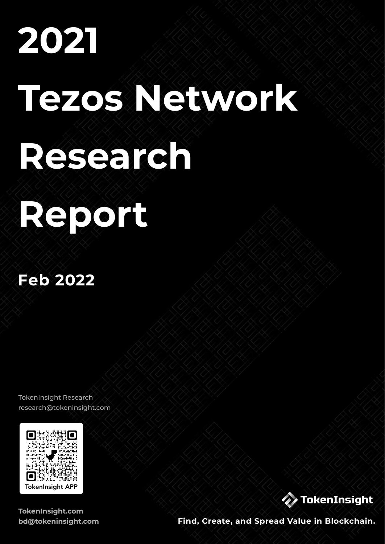# **2021 Tezos Network Research**

# **Report**

### **Feb 2022**

TokenInsight Research [research@tokeninsight.com](mailto:research@tokeninsight.com)



**[TokenInsight.com](http://TokenInsight.com) [bd@tokeninsight.com](mailto:bd@tokeninsight.com)**



**Find, Create, and Spread Value in Blockchain.**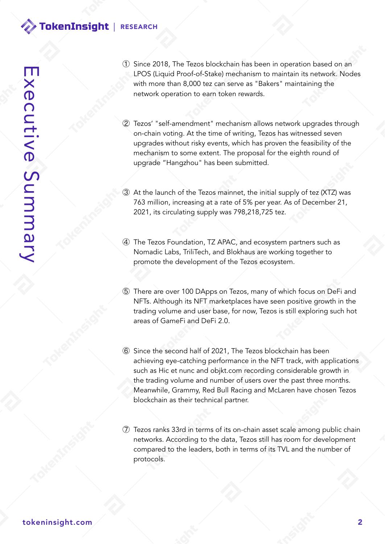- ① Since 2018, The Tezos blockchain has been in operation based on an LPOS (Liquid Proof-of-Stake) mechanism to maintain its network. Nodes with more than 8,000 tez can serve as "Bakers" maintaining the network operation to earn token rewards.
- ② Tezos' "self-amendment" mechanism allows network upgrades through on-chain voting. At the time of writing, Tezos has witnessed seven upgrades without risky events, which has proven the feasibility of the mechanism to some extent. The proposal for the eighth round of upgrade "Hangzhou" has been submitted.
- ③ At the launch of the Tezos mainnet, the initial supply of tez (XTZ) was 763 million, increasing at a rate of 5% per year. As of December 21, 2021, its circulating supply was 798,218,725 tez.
- ④ The Tezos Foundation, TZ APAC, and ecosystem partners such as Nomadic Labs, TriliTech, and Blokhaus are working together to promote the development of the Tezos ecosystem.
- ⑤ There are over 100 DApps on Tezos, many of which focus on DeFi and NFTs. Although its NFT marketplaces have seen positive growth in the trading volume and user base, for now, Tezos is still exploring such hot areas of GameFi and DeFi 2.0.
- ⑥ Since the second half of 2021, The Tezos blockchain has been achieving eye-catching performance in the NFT track, with applications such as Hic et nunc and objkt.com recording considerable growth in the trading volume and number of users over the past three months. Meanwhile, Grammy, Red Bull Racing and McLaren have chosen Tezos blockchain as their technical partner.
- ⑦ Tezos ranks 33rd in terms of its on-chain asset scale among public chain networks. According to the data, Tezos still has room for development compared to the leaders, both in terms of its TVL and the number of protocols.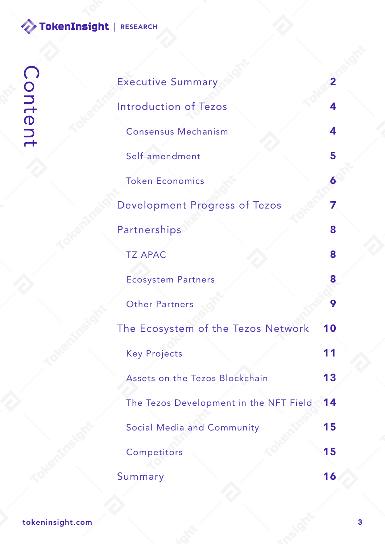| <b>Executive Summary</b>               | 2  |
|----------------------------------------|----|
| Introduction of Tezos                  | 4  |
| <b>Consensus Mechanism</b>             | 4  |
| Self-amendment                         | 5  |
| <b>Token Economics</b>                 | 6  |
| Development Progress of Tezos          |    |
| Partnerships                           | 8  |
| <b>TZ APAC</b>                         | 8  |
| <b>Ecosystem Partners</b>              | 8  |
| <b>Other Partners</b>                  | 9  |
| The Ecosystem of the Tezos Network     | 10 |
| <b>Key Projects</b>                    |    |
| Assets on the Tezos Blockchain         | 13 |
| The Tezos Development in the NFT Field | 14 |
| <b>Social Media and Community</b>      | 15 |
| Competitors                            | 15 |
| Summary                                | 16 |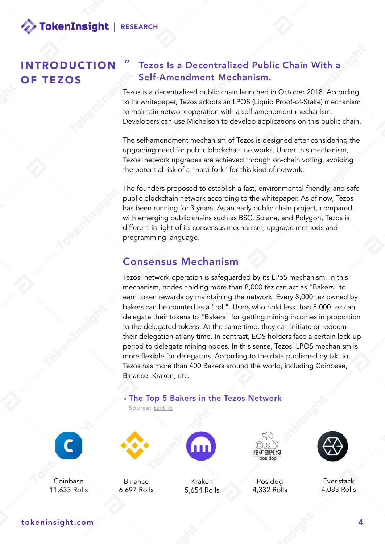INTRODUCTION OF TEZOS

#### Tezos Is a Decentralized Public Chain With a Self-Amendment Mechanism.

Tezos is a decentralized public chain launched in October 2018. According to its whitepaper, Tezos adopts an LPOS (Liquid Proof-of-Stake) mechanism to maintain network operation with a self-amendment mechanism. Developers can use Michelson to develop applications on this public chain.

The self-amendment mechanism of Tezos is designed after considering the upgrading need for public blockchain networks. Under this mechanism, Tezos' network upgrades are achieved through on-chain voting, avoiding the potential risk of a "hard fork" for this kind of network.

The founders proposed to establish a fast, environmental-friendly, and safe public blockchain network according to the whitepaper. As of now, Tezos has been running for 3 years. As an early public chain project, compared with emerging public chains such as BSC, Solana, and Polygon, Tezos is different in light of its consensus mechanism, upgrade methods and programming language.

#### Consensus Mechanism

Tezos' network operation is safeguarded by its LPoS mechanism. In this mechanism, nodes holding more than 8,000 tez can act as "Bakers" to earn token rewards by maintaining the network. Every 8,000 tez owned by bakers can be counted as a "roll". Users who hold less than 8,000 tez can delegate their tokens to "Bakers" for getting mining incomes in proportion to the delegated tokens. At the same time, they can initiate or redeem their delegation at any time. In contrast, EOS holders face a certain lock-up period to delegate mining nodes. In this sense, Tezos' LPOS mechanism is more flexible for delegators. According to the data published by tzkt.io, Tezos has more than 400 Bakers around the world, including Coinbase, Binance, Kraken, etc.

**‣**The Top 5 Bakers in the Tezos Network



Coinbase 11,633 Rolls



Source: [tzkt.io](http://tzkt.io)

**Binance** 6,697 Rolls



5,654 Rolls



Pos.dog 4,332 Rolls



Ever.stack 4,083 Rolls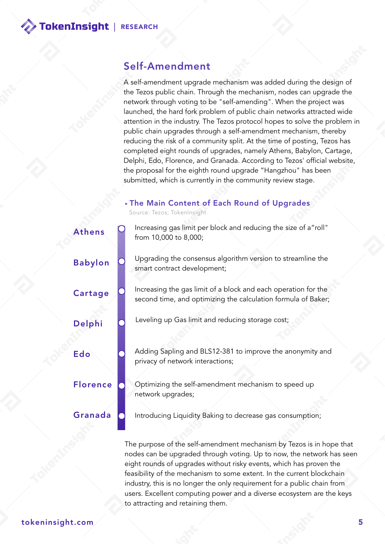Babylon

Cartage

Delphi

**Florence** 

Granada

Edo

#### Self-Amendment

A self-amendment upgrade mechanism was added during the design of the Tezos public chain. Through the mechanism, nodes can upgrade the network through voting to be "self-amending". When the project was launched, the hard fork problem of public chain networks attracted wide attention in the industry. The Tezos protocol hopes to solve the problem in public chain upgrades through a self-amendment mechanism, thereby reducing the risk of a community split. At the time of posting, Tezos has completed eight rounds of upgrades, namely Athens, Babylon, Cartage, Delphi, Edo, Florence, and Granada. According to Tezos' official website, the proposal for the eighth round upgrade "Hangzhou" has been submitted, which is currently in the community review stage.

#### **‣**The Main Content of Each Round of Upgrades

Source: Tezos; TokenInsight

Athens **O** Increasing gas limit per block and reducing the size of a"roll" from 10,000 to 8,000;

> Upgrading the consensus algorithm version to streamline the smart contract development;

> Increasing the gas limit of a block and each operation for the second time, and optimizing the calculation formula of Baker;

Leveling up Gas limit and reducing storage cost;

Adding Sapling and BLS12-381 to improve the anonymity and privacy of network interactions;

Optimizing the self-amendment mechanism to speed up network upgrades;

Introducing Liquidity Baking to decrease gas consumption;

The purpose of the self-amendment mechanism by Tezos is in hope that nodes can be upgraded through voting. Up to now, the network has seen eight rounds of upgrades without risky events, which has proven the feasibility of the mechanism to some extent. In the current blockchain industry, this is no longer the only requirement for a public chain from users. Excellent computing power and a diverse ecosystem are the keys to attracting and retaining them.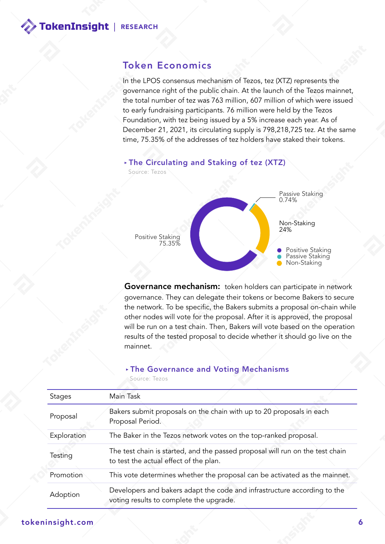#### Token Economics

In the LPOS consensus mechanism of Tezos, tez (XTZ) represents the governance right of the public chain. At the launch of the Tezos mainnet, the total number of tez was 763 million, 607 million of which were issued to early fundraising participants. 76 million were held by the Tezos Foundation, with tez being issued by a 5% increase each year. As of December 21, 2021, its circulating supply is 798,218,725 tez. At the same time, 75.35% of the addresses of tez holders have staked their tokens.



Governance mechanism: token holders can participate in network governance. They can delegate their tokens or become Bakers to secure the network. To be specific, the Bakers submits a proposal on-chain while other nodes will vote for the proposal. After it is approved, the proposal will be run on a test chain. Then, Bakers will vote based on the operation results of the tested proposal to decide whether it should go live on the mainnet.

#### **‣**The Governance and Voting Mechanisms

Source: Tezos

| <b>Stages</b> | Main Task                                                                                                               |
|---------------|-------------------------------------------------------------------------------------------------------------------------|
| Proposal      | Bakers submit proposals on the chain with up to 20 proposals in each<br>Proposal Period.                                |
| Exploration   | The Baker in the Tezos network votes on the top-ranked proposal.                                                        |
| Testing       | The test chain is started, and the passed proposal will run on the test chain<br>to test the actual effect of the plan. |
| Promotion     | This vote determines whether the proposal can be activated as the mainnet.                                              |
| Adoption      | Developers and bakers adapt the code and infrastructure according to the<br>voting results to complete the upgrade.     |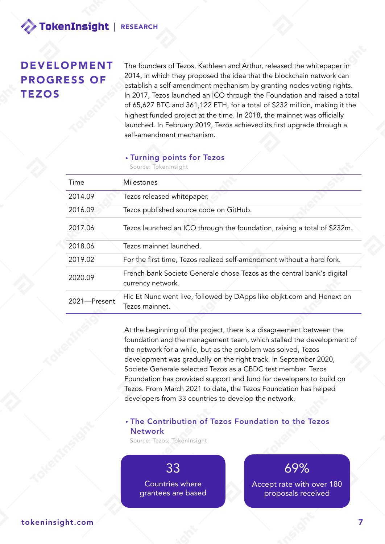#### DEVELOPMENT PROGRESS OF **TEZOS**

The founders of Tezos, Kathleen and Arthur, released the whitepaper in 2014, in which they proposed the idea that the blockchain network can establish a self-amendment mechanism by granting nodes voting rights. In 2017, Tezos launched an ICO through the Foundation and raised a total of 65,627 BTC and 361,122 ETH, for a total of \$232 million, making it the highest funded project at the time. In 2018, the mainnet was officially launched. In February 2019, Tezos achieved its first upgrade through a self-amendment mechanism.

#### **‣**Turning points for Tezos

Source: TokenInsight

| Time         | Milestones                                                                                  |
|--------------|---------------------------------------------------------------------------------------------|
| 2014.09      | Tezos released whitepaper.                                                                  |
| 2016.09      | Tezos published source code on GitHub.                                                      |
| 2017.06      | Tezos launched an ICO through the foundation, raising a total of \$232m.                    |
| 2018.06      | Tezos mainnet launched.                                                                     |
| 2019.02      | For the first time, Tezos realized self-amendment without a hard fork.                      |
| 2020.09      | French bank Societe Generale chose Tezos as the central bank's digital<br>currency network. |
| 2021-Present | Hic Et Nunc went live, followed by DApps like objkt.com and Henext on<br>Tezos mainnet.     |

At the beginning of the project, there is a disagreement between the foundation and the management team, which stalled the development of the network for a while, but as the problem was solved, Tezos development was gradually on the right track. In September 2020, Societe Generale selected Tezos as a CBDC test member. Tezos Foundation has provided support and fund for developers to build on Tezos. From March 2021 to date, the Tezos Foundation has helped developers from 33 countries to develop the network.

#### **‣**The Contribution of Tezos Foundation to the Tezos **Network**

Source: Tezos; TokenInsight

33 Countries where grantees are based

69% Accept rate with over 180 proposals received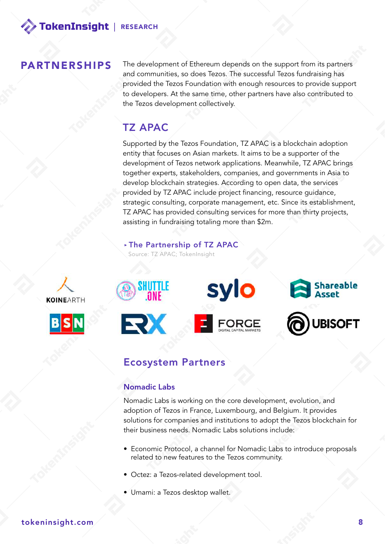#### PARTNERSHIPS

The development of Ethereum depends on the support from its partners and communities, so does Tezos. The successful Tezos fundraising has provided the Tezos Foundation with enough resources to provide support to developers. At the same time, other partners have also contributed to the Tezos development collectively.

#### TZ APAC

Supported by the Tezos Foundation, TZ APAC is a blockchain adoption entity that focuses on Asian markets. It aims to be a supporter of the development of Tezos network applications. Meanwhile, TZ APAC brings together experts, stakeholders, companies, and governments in Asia to develop blockchain strategies. According to open data, the services provided by TZ APAC include project financing, resource guidance, strategic consulting, corporate management, etc. Since its establishment, TZ APAC has provided consulting services for more than thirty projects, assisting in fundraising totaling more than \$2m.

#### **‣**The Partnership of TZ APAC

Source: TZ APAC; TokenInsight



#### Ecosystem Partners

#### Nomadic Labs

Nomadic Labs is working on the core development, evolution, and adoption of Tezos in France, Luxembourg, and Belgium. It provides solutions for companies and institutions to adopt the Tezos blockchain for their business needs. Nomadic Labs solutions include:

- Economic Protocol, a channel for Nomadic Labs to introduce proposals related to new features to the Tezos community.
- Octez: a Tezos-related development tool.
- Umami: a Tezos desktop wallet.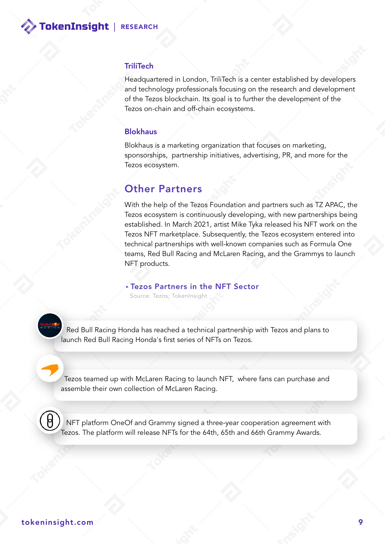#### TriliTech

Headquartered in London, TriliTech is a center established by developers and technology professionals focusing on the research and development of the Tezos blockchain. Its goal is to further the development of the Tezos on-chain and off-chain ecosystems.

#### Blokhaus

Blokhaus is a marketing organization that focuses on marketing, sponsorships, partnership initiatives, advertising, PR, and more for the Tezos ecosystem.

#### Other Partners

With the help of the Tezos Foundation and partners such as TZ APAC, the Tezos ecosystem is continuously developing, with new partnerships being established. In March 2021, artist Mike Tyka released his NFT work on the Tezos NFT marketplace. Subsequently, the Tezos ecosystem entered into technical partnerships with well-known companies such as Formula One teams, Red Bull Racing and McLaren Racing, and the Grammys to launch NFT products.

#### **‣**Tezos Partners in the NFT Sector

Source: Tezos; TokenInsight



 Red Bull Racing Honda has reached a technical partnership with Tezos and plans to launch Red Bull Racing Honda's first series of NFTs on Tezos.

 Tezos teamed up with McLaren Racing to launch NFT, where fans can purchase and assemble their own collection of McLaren Racing.



 NFT platform OneOf and Grammy signed a three-year cooperation agreement with Tezos. The platform will release NFTs for the 64th, 65th and 66th Grammy Awards.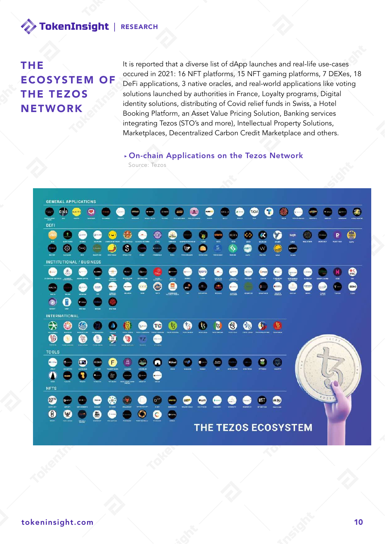#### THE ECOSYSTEM OF THE TEZOS **NETWORK**

It is reported that a diverse list of dApp launches and real-life use-cases occured in 2021: 16 NFT platforms, 15 NFT gaming platforms, 7 DEXes, 18 DeFi applications, 3 native oracles, and real-world applications like voting solutions launched by authorities in France, Loyalty programs, Digital identity solutions, distributing of Covid relief funds in Swiss, a Hotel Booking Platform, an Asset Value Pricing Solution, Banking services integrating Tezos (STO's and more), Intellectual Property Solutions, Marketplaces, Decentralized Carbon Credit Marketplace and others.

**‣**On-chain Applications on the Tezos Network Source: Tezos



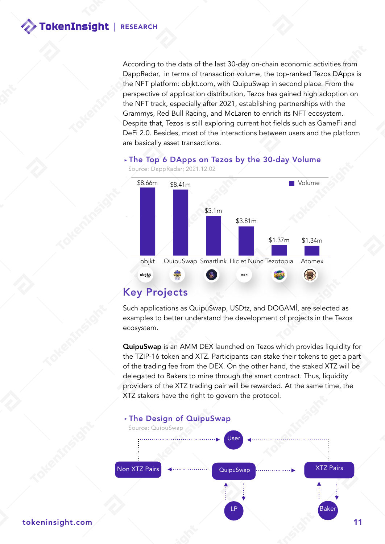According to the data of the last 30-day on-chain economic activities from DappRadar, in terms of transaction volume, the top-ranked Tezos DApps is the NFT platform: objkt.com, with QuipuSwap in second place. From the perspective of application distribution, Tezos has gained high adoption on the NFT track, especially after 2021, establishing partnerships with the Grammys, Red Bull Racing, and McLaren to enrich its NFT ecosystem. Despite that, Tezos is still exploring current hot fields such as GameFi and DeFi 2.0. Besides, most of the interactions between users and the platform are basically asset transactions.

#### **‣**The Top 6 DApps on Tezos by the 30-day Volume



#### Key Projects

Such applications as QuipuSwap, USDtz, and DOGAMÍ, are selected as examples to better understand the development of projects in the Tezos ecosystem.

QuipuSwap is an AMM DEX launched on Tezos which provides liquidity for the TZIP-16 token and XTZ. Participants can stake their tokens to get a part of the trading fee from the DEX. On the other hand, the staked XTZ will be delegated to Bakers to mine through the smart contract. Thus, liquidity providers of the XTZ trading pair will be rewarded. At the same time, the XTZ stakers have the right to govern the protocol.

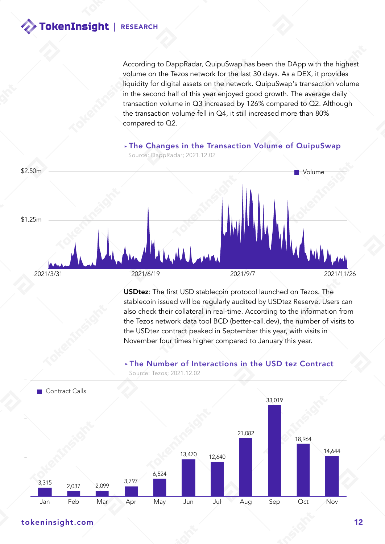According to DappRadar, QuipuSwap has been the DApp with the highest volume on the Tezos network for the last 30 days. As a DEX, it provides liquidity for digital assets on the network. QuipuSwap's transaction volume in the second half of this year enjoyed good growth. The average daily transaction volume in Q3 increased by 126% compared to Q2. Although the transaction volume fell in Q4, it still increased more than 80% compared to Q2.

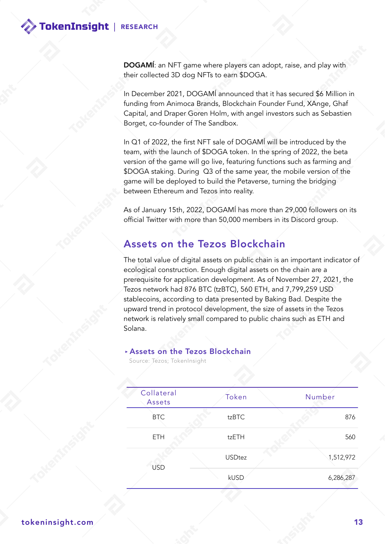DOGAMÍ: an NFT game where players can adopt, raise, and play with their collected 3D dog NFTs to earn \$DOGA.

In December 2021, DOGAMÍ announced that it has secured \$6 Million in funding from Animoca Brands, Blockchain Founder Fund, XAnge, Ghaf Capital, and Draper Goren Holm, with angel investors such as Sebastien Borget, co-founder of The Sandbox.

In Q1 of 2022, the first NFT sale of DOGAMÍ will be introduced by the team, with the launch of \$DOGA token. In the spring of 2022, the beta version of the game will go live, featuring functions such as farming and \$DOGA staking. During Q3 of the same year, the mobile version of the game will be deployed to build the Petaverse, turning the bridging between Ethereum and Tezos into reality.

As of January 15th, 2022, DOGAMÍ has more than 29,000 followers on its official Twitter with more than 50,000 members in its Discord group.

#### Assets on the Tezos Blockchain

The total value of digital assets on public chain is an important indicator of ecological construction. Enough digital assets on the chain are a prerequisite for application development. As of November 27, 2021, the Tezos network had 876 BTC (tzBTC), 560 ETH, and 7,799,259 USD stablecoins, according to data presented by Baking Bad. Despite the upward trend in protocol development, the size of assets in the Tezos network is relatively small compared to public chains such as ETH and Solana.

#### **‣**Assets on the Tezos Blockchain

Source: Tezos; TokenInsight

| Collateral<br>Assets | Token         | Number    |  |
|----------------------|---------------|-----------|--|
| <b>BTC</b>           | tzBTC         | 876       |  |
| <b>ETH</b>           | tzETH         | 560       |  |
| <b>USD</b>           | <b>USDtez</b> | 1,512,972 |  |
|                      | kUSD          | 6,286,287 |  |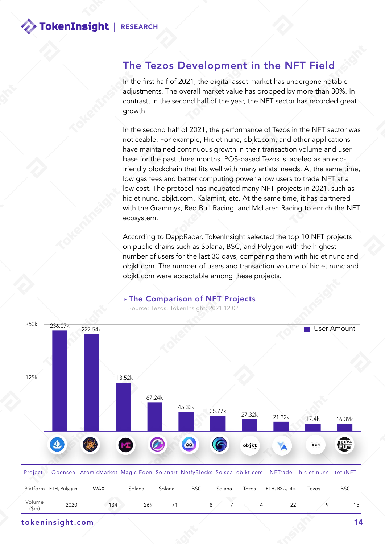#### The Tezos Development in the NFT Field

In the first half of 2021, the digital asset market has undergone notable adjustments. The overall market value has dropped by more than 30%. In contrast, in the second half of the year, the NFT sector has recorded great growth.

In the second half of 2021, the performance of Tezos in the NFT sector was noticeable. For example, Hic et nunc, objkt.com, and other applications have maintained continuous growth in their transaction volume and user base for the past three months. POS-based Tezos is labeled as an ecofriendly blockchain that fits well with many artists' needs. At the same time, low gas fees and better computing power allow users to trade NFT at a low cost. The protocol has incubated many NFT projects in 2021, such as hic et nunc, objkt.com, Kalamint, etc. At the same time, it has partnered with the Grammys, Red Bull Racing, and McLaren Racing to enrich the NFT ecosystem.

According to DappRadar, TokenInsight selected the top 10 NFT projects on public chains such as Solana, BSC, and Polygon with the highest number of users for the last 30 days, comparing them with hic et nunc and objkt.com. The number of users and transaction volume of hic et nunc and objkt.com were acceptable among these projects.



#### **‣**The Comparison of NFT Projects

Source: Tezos; TokenInsight; 2021.12.02

tokeninsight.com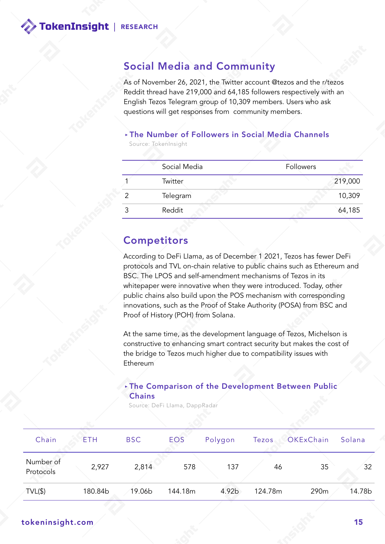#### Social Media and Community

As of November 26, 2021, the Twitter account @tezos and the r/tezos Reddit thread have 219,000 and 64,185 followers respectively with an English Tezos Telegram group of 10,309 members. Users who ask questions will get responses from community members.

#### **‣**The Number of Followers in Social Media Channels

Source: TokenInsight

| Social Media | Followers |         |
|--------------|-----------|---------|
| Twitter      |           | 219,000 |
| Telegram     |           | 10,309  |
| Reddit       |           | 64,185  |

#### **Competitors**

According to DeFi LIama, as of December 1 2021, Tezos has fewer DeFi protocols and TVL on-chain relative to public chains such as Ethereum and BSC. The LPOS and self-amendment mechanisms of Tezos in its whitepaper were innovative when they were introduced. Today, other public chains also build upon the POS mechanism with corresponding innovations, such as the Proof of Stake Authority (POSA) from BSC and Proof of History (POH) from Solana.

At the same time, as the development language of Tezos, Michelson is constructive to enhancing smart contract security but makes the cost of the bridge to Tezos much higher due to compatibility issues with Ethereum

#### **‣**The Comparison of the Development Between Public **Chains**

Source: DeFi LIama, DappRadar

| Chain                  | ETH     | <b>BSC</b> | EOS     | Polygon | Tezos   | OKExChain | Solana |
|------------------------|---------|------------|---------|---------|---------|-----------|--------|
| Number of<br>Protocols | 2,927   | 2,814      | 578     | 137     | 46      | 35        | 32     |
| $TVL(\$)$              | 180.84b | 19.06b     | 144.18m | 4.92b   | 124.78m | 290m      | 14.78b |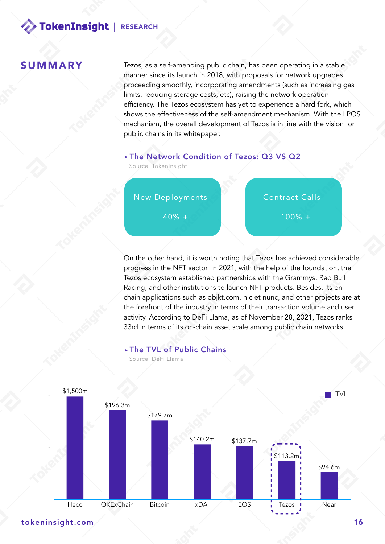#### **SUMMARY**

Tezos, as a self-amending public chain, has been operating in a stable manner since its launch in 2018, with proposals for network upgrades proceeding smoothly, incorporating amendments (such as increasing gas limits, reducing storage costs, etc), raising the network operation efficiency. The Tezos ecosystem has yet to experience a hard fork, which shows the effectiveness of the self-amendment mechanism. With the LPOS mechanism, the overall development of Tezos is in line with the vision for public chains in its whitepaper.

#### **‣**The Network Condition of Tezos: Q3 VS Q2

Source: TokenInsight



progress in the NFT sector. In 2021, with the help of the foundation, the Tezos ecosystem established partnerships with the Grammys, Red Bull Racing, and other institutions to launch NFT products. Besides, its onchain applications such as objkt.com, hic et nunc, and other projects are at the forefront of the industry in terms of their transaction volume and user activity. According to DeFi LIama, as of November 28, 2021, Tezos ranks 33rd in terms of its on-chain asset scale among public chain networks.

#### **‣**The TVL of Public Chains

Source: DeFi LIama